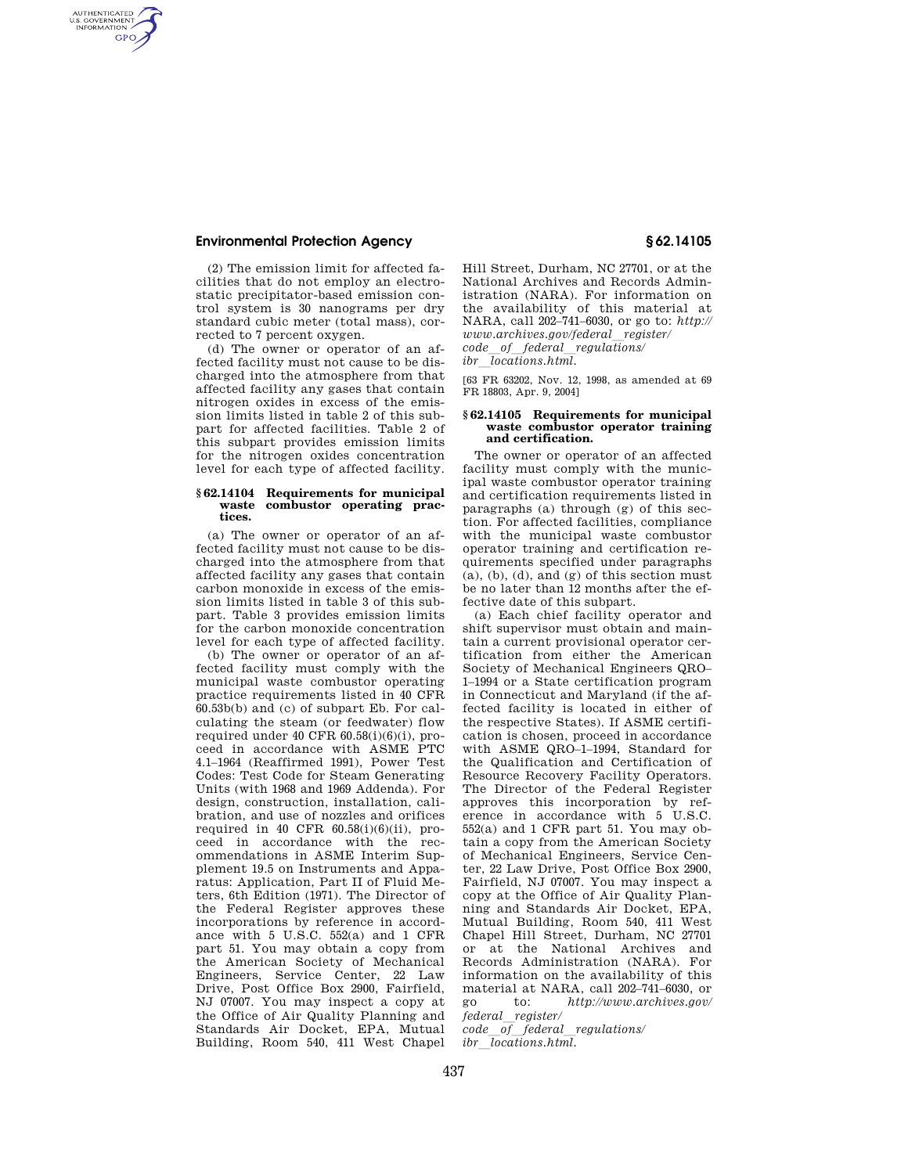# **Environmental Protection Agency § 62.14105**

AUTHENTICATED<br>U.S. GOVERNMENT<br>INFORMATION **GPO** 

> (2) The emission limit for affected facilities that do not employ an electrostatic precipitator-based emission control system is 30 nanograms per dry standard cubic meter (total mass), corrected to 7 percent oxygen.

> (d) The owner or operator of an affected facility must not cause to be discharged into the atmosphere from that affected facility any gases that contain nitrogen oxides in excess of the emission limits listed in table 2 of this subpart for affected facilities. Table 2 of this subpart provides emission limits for the nitrogen oxides concentration level for each type of affected facility.

## **§ 62.14104 Requirements for municipal waste combustor operating practices.**

(a) The owner or operator of an affected facility must not cause to be discharged into the atmosphere from that affected facility any gases that contain carbon monoxide in excess of the emission limits listed in table 3 of this subpart. Table 3 provides emission limits for the carbon monoxide concentration level for each type of affected facility.

(b) The owner or operator of an affected facility must comply with the municipal waste combustor operating practice requirements listed in 40 CFR 60.53b(b) and (c) of subpart Eb. For calculating the steam (or feedwater) flow required under 40 CFR  $60.58(i)(6)(i)$ , proceed in accordance with ASME PTC 4.1–1964 (Reaffirmed 1991), Power Test Codes: Test Code for Steam Generating Units (with 1968 and 1969 Addenda). For design, construction, installation, calibration, and use of nozzles and orifices required in 40 CFR  $60.58(i)(6)(ii)$ , proceed in accordance with the recommendations in ASME Interim Supplement 19.5 on Instruments and Apparatus: Application, Part II of Fluid Meters, 6th Edition (1971). The Director of the Federal Register approves these incorporations by reference in accordance with 5 U.S.C. 552(a) and 1 CFR part 51. You may obtain a copy from the American Society of Mechanical Engineers, Service Center, 22 Law Drive, Post Office Box 2900, Fairfield, NJ 07007. You may inspect a copy at the Office of Air Quality Planning and Standards Air Docket, EPA, Mutual Building, Room 540, 411 West Chapel

Hill Street, Durham, NC 27701, or at the National Archives and Records Administration (NARA). For information on the availability of this material at NARA, call 202–741–6030, or go to: *http://*   $www.archive.gov/feral\_register/$ *code*l*of*l*federal*l*regulations/* 

 $\overline{1}$ *ibr* $\overline{1}$ *locations.html.* 

[63 FR 63202, Nov. 12, 1998, as amended at 69 FR 18803, Apr. 9, 2004]

## **§ 62.14105 Requirements for municipal waste combustor operator training and certification.**

The owner or operator of an affected facility must comply with the municipal waste combustor operator training and certification requirements listed in paragraphs (a) through (g) of this section. For affected facilities, compliance with the municipal waste combustor operator training and certification requirements specified under paragraphs (a), (b), (d), and (g) of this section must be no later than 12 months after the effective date of this subpart.

(a) Each chief facility operator and shift supervisor must obtain and maintain a current provisional operator certification from either the American Society of Mechanical Engineers QRO– 1–1994 or a State certification program in Connecticut and Maryland (if the affected facility is located in either of the respective States). If ASME certification is chosen, proceed in accordance with ASME QRO-1-1994, Standard for the Qualification and Certification of Resource Recovery Facility Operators. The Director of the Federal Register approves this incorporation by reference in accordance with 5 U.S.C.  $552(a)$  and 1 CFR part 51. You may obtain a copy from the American Society of Mechanical Engineers, Service Center, 22 Law Drive, Post Office Box 2900, Fairfield, NJ 07007. You may inspect a copy at the Office of Air Quality Planning and Standards Air Docket, EPA, Mutual Building, Room 540, 411 West Chapel Hill Street, Durham, NC 27701 or at the National Archives and Records Administration (NARA). For information on the availability of this material at NARA, call  $202-741-6030$ , or<br>go to: http://www.archives.gov/ go to: *http://www.archives.gov/*   $federal$  *register/* 

*code*l*of*l*federal*l*regulations/ ibr locations.html.*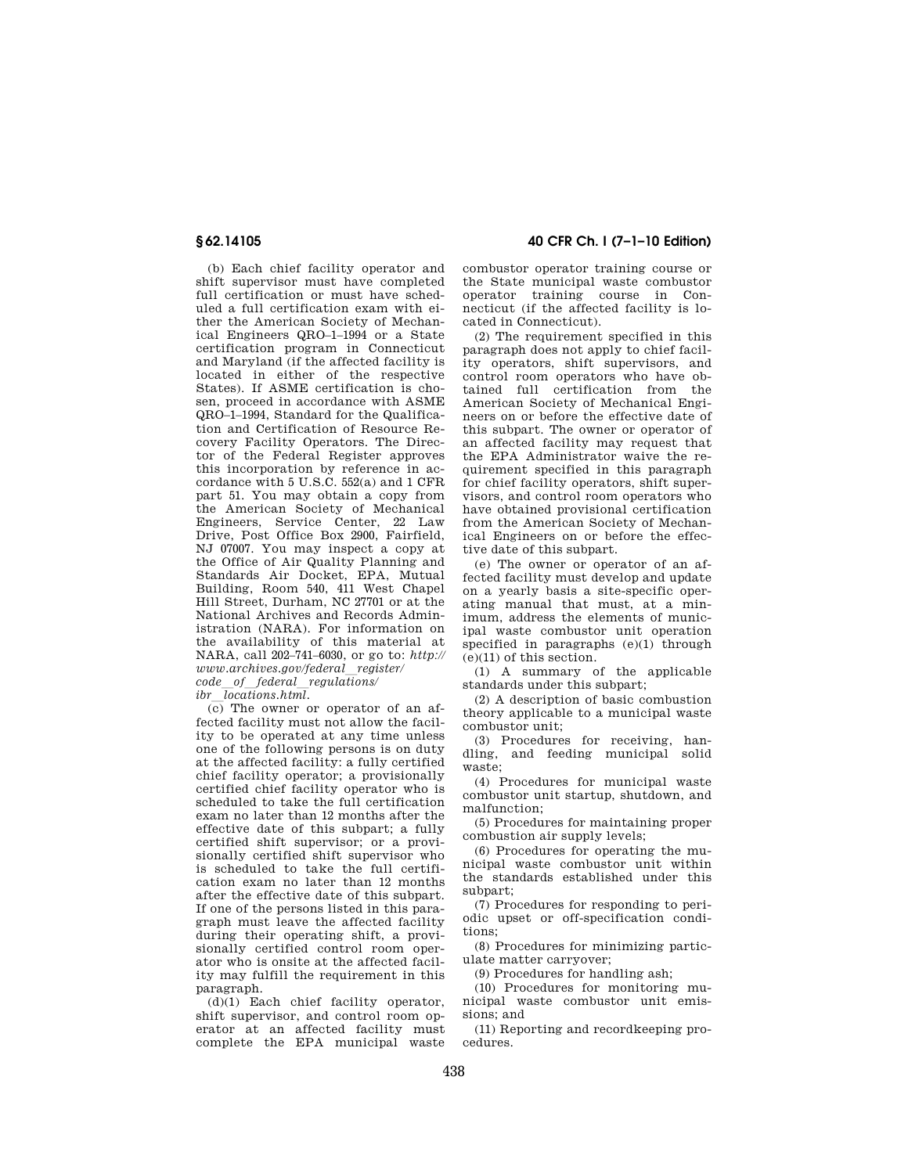(b) Each chief facility operator and shift supervisor must have completed full certification or must have scheduled a full certification exam with either the American Society of Mechanical Engineers QRO–1–1994 or a State certification program in Connecticut and Maryland (if the affected facility is located in either of the respective States). If ASME certification is chosen, proceed in accordance with ASME QRO–1–1994, Standard for the Qualification and Certification of Resource Recovery Facility Operators. The Director of the Federal Register approves this incorporation by reference in accordance with 5 U.S.C. 552(a) and 1 CFR part 51. You may obtain a copy from the American Society of Mechanical Engineers, Service Center, 22 Law Drive, Post Office Box 2900, Fairfield, NJ 07007. You may inspect a copy at the Office of Air Quality Planning and Standards Air Docket, EPA, Mutual Building, Room 540, 411 West Chapel Hill Street, Durham, NC 27701 or at the National Archives and Records Administration (NARA). For information on the availability of this material at NARA, call 202–741–6030, or go to: *http:// www.archives.gov/federal*l*register/ code*l*of*l*federal*l*regulations/* 

*ibr*l*locations.html.* 

 $\overline{(c)}$  The owner or operator of an affected facility must not allow the facility to be operated at any time unless one of the following persons is on duty at the affected facility: a fully certified chief facility operator; a provisionally certified chief facility operator who is scheduled to take the full certification exam no later than 12 months after the effective date of this subpart; a fully certified shift supervisor; or a provisionally certified shift supervisor who is scheduled to take the full certification exam no later than 12 months after the effective date of this subpart. If one of the persons listed in this paragraph must leave the affected facility during their operating shift, a provisionally certified control room operator who is onsite at the affected facility may fulfill the requirement in this paragraph.

(d)(1) Each chief facility operator, shift supervisor, and control room operator at an affected facility must complete the EPA municipal waste

# **§ 62.14105 40 CFR Ch. I (7–1–10 Edition)**

combustor operator training course or the State municipal waste combustor operator training course in Connecticut (if the affected facility is located in Connecticut).

(2) The requirement specified in this paragraph does not apply to chief facility operators, shift supervisors, and control room operators who have obtained full certification from the American Society of Mechanical Engineers on or before the effective date of this subpart. The owner or operator of an affected facility may request that the EPA Administrator waive the requirement specified in this paragraph for chief facility operators, shift supervisors, and control room operators who have obtained provisional certification from the American Society of Mechanical Engineers on or before the effective date of this subpart.

(e) The owner or operator of an affected facility must develop and update on a yearly basis a site-specific operating manual that must, at a minimum, address the elements of municipal waste combustor unit operation specified in paragraphs (e)(1) through (e)(11) of this section.

(1) A summary of the applicable standards under this subpart;

(2) A description of basic combustion theory applicable to a municipal waste combustor unit;

(3) Procedures for receiving, handling, and feeding municipal solid waste;

(4) Procedures for municipal waste combustor unit startup, shutdown, and malfunction;

(5) Procedures for maintaining proper combustion air supply levels;

(6) Procedures for operating the municipal waste combustor unit within the standards established under this subpart;

(7) Procedures for responding to periodic upset or off-specification conditions;

(8) Procedures for minimizing particulate matter carryover;

(9) Procedures for handling ash;

(10) Procedures for monitoring municipal waste combustor unit emissions; and

(11) Reporting and recordkeeping procedures.